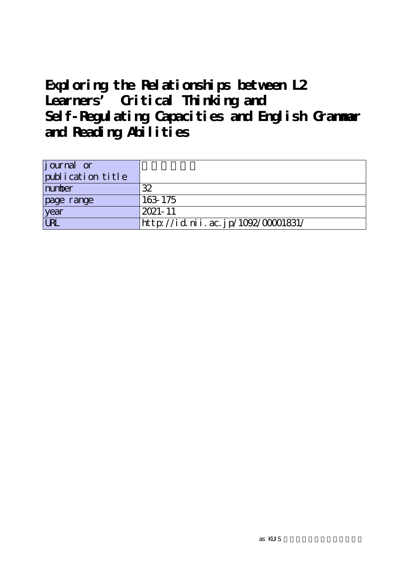# **Exploring the Relationships between L2 Learners' Critical Thinking and Self-Regulating Capacities and English Grammar and Reading Abilities**

| journal or        |                                    |
|-------------------|------------------------------------|
| publication title |                                    |
| number            | 32                                 |
| page range        | 163 175                            |
| year              | $2021 - 11$                        |
| <b>LRL</b>        | http://id.nii.ac.jp/1092/00001831/ |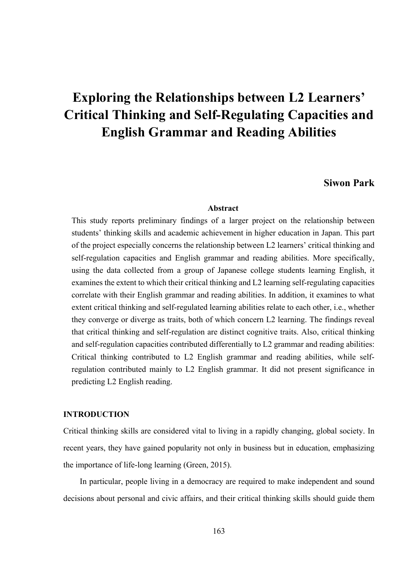# **Exploring the Relationships between L2 Learners' Critical Thinking and Self-Regulating Capacities and English Grammar and Reading Abilities**

# **Siwon Park**

## **Abstract**

This study reports preliminary findings of a larger project on the relationship between students' thinking skills and academic achievement in higher education in Japan. This part of the project especially concerns the relationship between L2 learners' critical thinking and self-regulation capacities and English grammar and reading abilities. More specifically, using the data collected from a group of Japanese college students learning English, it examines the extent to which their critical thinking and L2 learning self-regulating capacities correlate with their English grammar and reading abilities. In addition, it examines to what extent critical thinking and self-regulated learning abilities relate to each other, i.e., whether they converge or diverge as traits, both of which concern L2 learning. The findings reveal that critical thinking and self-regulation are distinct cognitive traits. Also, critical thinking and self-regulation capacities contributed differentially to L2 grammar and reading abilities: Critical thinking contributed to L2 English grammar and reading abilities, while selfregulation contributed mainly to L2 English grammar. It did not present significance in predicting L2 English reading.

# **INTRODUCTION**

Critical thinking skills are considered vital to living in a rapidly changing, global society. In recent years, they have gained popularity not only in business but in education, emphasizing the importance of life-long learning (Green, 2015).

In particular, people living in a democracy are required to make independent and sound decisions about personal and civic affairs, and their critical thinking skills should guide them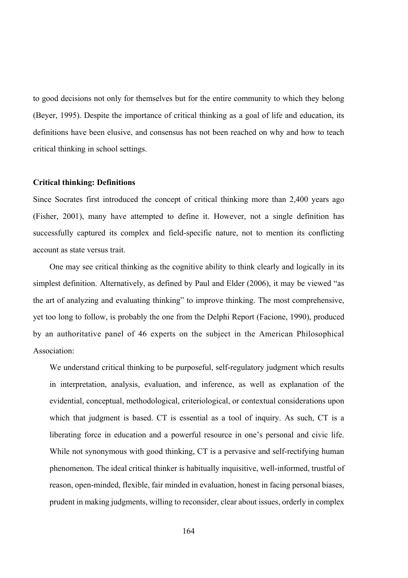to good decisions not only for themselves but for the entire community to which they belong (Beyer, 1995). Despite the importance of critical thinking as a goal of life and education, its definitions have been elusive, and consensus has not been reached on why and how to teach critical thinking in school settings.

#### **Critical thinking: Definitions**

Since Socrates first introduced the concept of critical thinking more than 2,400 years ago (Fisher, 2001), many have attempted to define it. However, not a single definition has successfully captured its complex and field-specific nature, not to mention its conflicting account as state versus trait.

One may see critical thinking as the cognitive ability to think clearly and logically in its simplest definition. Alternatively, as defined by Paul and Elder (2006), it may be viewed "as the art of analyzing and evaluating thinking" to improve thinking. The most comprehensive, yet too long to follow, is probably the one from the Delphi Report (Facione, 1990), produced by an authoritative panel of 46 experts on the subject in the American Philosophical Association:

We understand critical thinking to be purposeful, self-regulatory judgment which results in interpretation, analysis, evaluation, and inference, as well as explanation of the evidential, conceptual, methodological, criteriological, or contextual considerations upon which that judgment is based. CT is essential as a tool of inquiry. As such, CT is a liberating force in education and a powerful resource in one's personal and civic life. While not synonymous with good thinking, CT is a pervasive and self-rectifying human phenomenon. The ideal critical thinker is habitually inquisitive, well-informed, trustful of reason, open-minded, flexible, fair minded in evaluation, honest in facing personal biases, prudent in making judgments, willing to reconsider, clear about issues, orderly in complex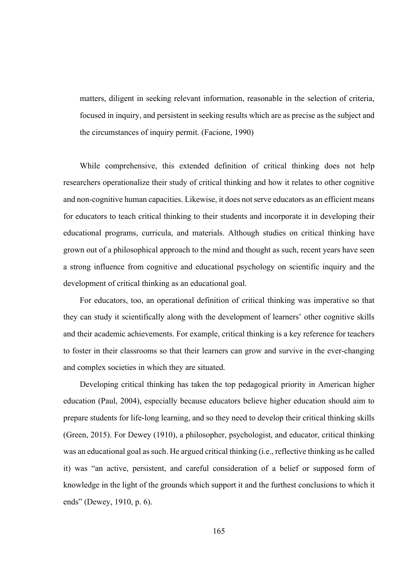matters, diligent in seeking relevant information, reasonable in the selection of criteria, focused in inquiry, and persistent in seeking results which are as precise as the subject and the circumstances of inquiry permit. (Facione, 1990)

While comprehensive, this extended definition of critical thinking does not help researchers operationalize their study of critical thinking and how it relates to other cognitive and non-cognitive human capacities. Likewise, it does not serve educators as an efficient means for educators to teach critical thinking to their students and incorporate it in developing their educational programs, curricula, and materials. Although studies on critical thinking have grown out of a philosophical approach to the mind and thought as such, recent years have seen a strong influence from cognitive and educational psychology on scientific inquiry and the development of critical thinking as an educational goal.

For educators, too, an operational definition of critical thinking was imperative so that they can study it scientifically along with the development of learners' other cognitive skills and their academic achievements. For example, critical thinking is a key reference for teachers to foster in their classrooms so that their learners can grow and survive in the ever-changing and complex societies in which they are situated.

Developing critical thinking has taken the top pedagogical priority in American higher education (Paul, 2004), especially because educators believe higher education should aim to prepare students for life-long learning, and so they need to develop their critical thinking skills (Green, 2015). For Dewey (1910), a philosopher, psychologist, and educator, critical thinking was an educational goal as such. He argued critical thinking (i.e., reflective thinking as he called it) was "an active, persistent, and careful consideration of a belief or supposed form of knowledge in the light of the grounds which support it and the furthest conclusions to which it ends" (Dewey, 1910, p. 6).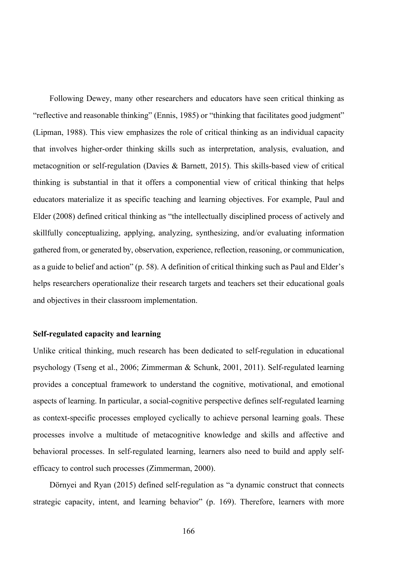Following Dewey, many other researchers and educators have seen critical thinking as "reflective and reasonable thinking" (Ennis, 1985) or "thinking that facilitates good judgment" (Lipman, 1988). This view emphasizes the role of critical thinking as an individual capacity that involves higher-order thinking skills such as interpretation, analysis, evaluation, and metacognition or self-regulation (Davies & Barnett, 2015). This skills-based view of critical thinking is substantial in that it offers a componential view of critical thinking that helps educators materialize it as specific teaching and learning objectives. For example, Paul and Elder (2008) defined critical thinking as "the intellectually disciplined process of actively and skillfully conceptualizing, applying, analyzing, synthesizing, and/or evaluating information gathered from, or generated by, observation, experience, reflection, reasoning, or communication, as a guide to belief and action" (p. 58). A definition of critical thinking such as Paul and Elder's helps researchers operationalize their research targets and teachers set their educational goals and objectives in their classroom implementation.

# **Self-regulated capacity and learning**

Unlike critical thinking, much research has been dedicated to self-regulation in educational psychology (Tseng et al., 2006; Zimmerman & Schunk, 2001, 2011). Self-regulated learning provides a conceptual framework to understand the cognitive, motivational, and emotional aspects of learning. In particular, a social-cognitive perspective defines self-regulated learning as context-specific processes employed cyclically to achieve personal learning goals. These processes involve a multitude of metacognitive knowledge and skills and affective and behavioral processes. In self-regulated learning, learners also need to build and apply selfefficacy to control such processes (Zimmerman, 2000).

Dörnyei and Ryan (2015) defined self-regulation as "a dynamic construct that connects strategic capacity, intent, and learning behavior" (p. 169). Therefore, learners with more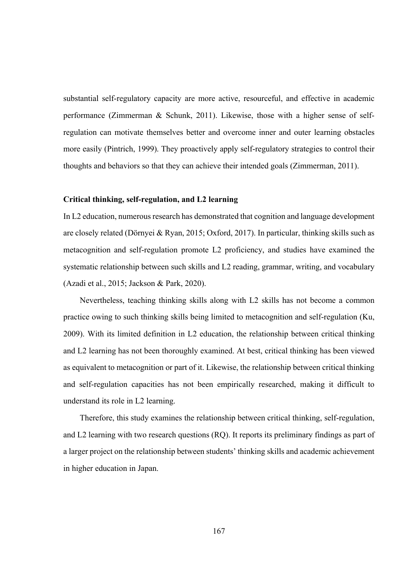substantial self-regulatory capacity are more active, resourceful, and effective in academic performance (Zimmerman & Schunk, 2011). Likewise, those with a higher sense of selfregulation can motivate themselves better and overcome inner and outer learning obstacles more easily (Pintrich, 1999). They proactively apply self-regulatory strategies to control their thoughts and behaviors so that they can achieve their intended goals (Zimmerman, 2011).

# **Critical thinking, self-regulation, and L2 learning**

In L2 education, numerous research has demonstrated that cognition and language development are closely related (Dörnyei & Ryan, 2015; Oxford, 2017). In particular, thinking skills such as metacognition and self-regulation promote L2 proficiency, and studies have examined the systematic relationship between such skills and L2 reading, grammar, writing, and vocabulary (Azadi et al., 2015; Jackson & Park, 2020).

Nevertheless, teaching thinking skills along with L2 skills has not become a common practice owing to such thinking skills being limited to metacognition and self-regulation (Ku, 2009). With its limited definition in L2 education, the relationship between critical thinking and L2 learning has not been thoroughly examined. At best, critical thinking has been viewed as equivalent to metacognition or part of it. Likewise, the relationship between critical thinking and self-regulation capacities has not been empirically researched, making it difficult to understand its role in L2 learning.

Therefore, this study examines the relationship between critical thinking, self-regulation, and L2 learning with two research questions (RQ). It reports its preliminary findings as part of a larger project on the relationship between students' thinking skills and academic achievement in higher education in Japan.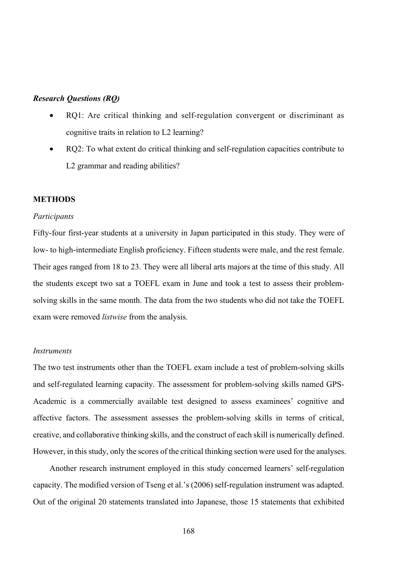# *Research Questions (RQ)*

- RQ1: Are critical thinking and self-regulation convergent or discriminant as cognitive traits in relation to L2 learning?
- RQ2: To what extent do critical thinking and self-regulation capacities contribute to L2 grammar and reading abilities?

#### **METHODS**

#### *Participants*

Fifty-four first-year students at a university in Japan participated in this study. They were of low- to high-intermediate English proficiency. Fifteen students were male, and the rest female. Their ages ranged from 18 to 23. They were all liberal arts majors at the time of this study. All the students except two sat a TOEFL exam in June and took a test to assess their problemsolving skills in the same month. The data from the two students who did not take the TOEFL exam were removed *listwise* from the analysis.

#### *Instruments*

The two test instruments other than the TOEFL exam include a test of problem-solving skills and self-regulated learning capacity. The assessment for problem-solving skills named GPS-Academic is a commercially available test designed to assess examinees' cognitive and affective factors. The assessment assesses the problem-solving skills in terms of critical, creative, and collaborative thinking skills, and the construct of each skill is numerically defined. However, in this study, only the scores of the critical thinking section were used for the analyses.

Another research instrument employed in this study concerned learners' self-regulation capacity. The modified version of Tseng et al.'s (2006) self-regulation instrument was adapted. Out of the original 20 statements translated into Japanese, those 15 statements that exhibited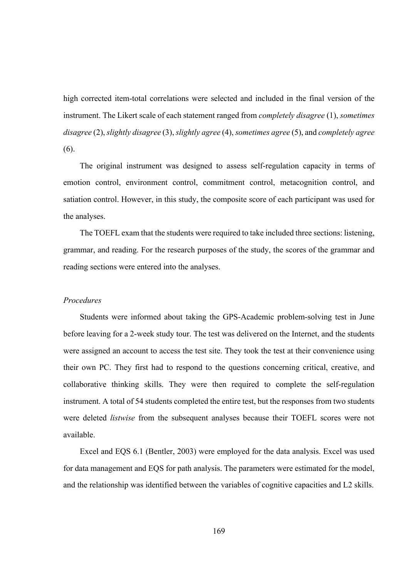high corrected item-total correlations were selected and included in the final version of the instrument. The Likert scale of each statement ranged from *completely disagree* (1), *sometimes disagree* (2), *slightly disagree* (3), *slightly agree* (4), *sometimes agree* (5), and *completely agree* (6).

The original instrument was designed to assess self-regulation capacity in terms of emotion control, environment control, commitment control, metacognition control, and satiation control. However, in this study, the composite score of each participant was used for the analyses.

The TOEFL exam that the students were required to take included three sections: listening, grammar, and reading. For the research purposes of the study, the scores of the grammar and reading sections were entered into the analyses.

#### *Procedures*

Students were informed about taking the GPS-Academic problem-solving test in June before leaving for a 2-week study tour. The test was delivered on the Internet, and the students were assigned an account to access the test site. They took the test at their convenience using their own PC. They first had to respond to the questions concerning critical, creative, and collaborative thinking skills. They were then required to complete the self-regulation instrument. A total of 54 students completed the entire test, but the responses from two students were deleted *listwise* from the subsequent analyses because their TOEFL scores were not available.

Excel and EQS 6.1 (Bentler, 2003) were employed for the data analysis. Excel was used for data management and EQS for path analysis. The parameters were estimated for the model, and the relationship was identified between the variables of cognitive capacities and L2 skills.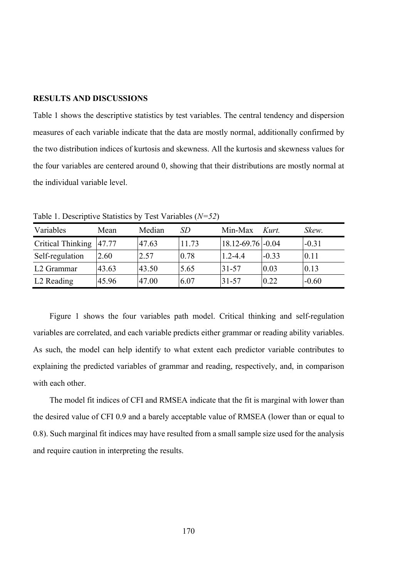#### **RESULTS AND DISCUSSIONS**

Table 1 shows the descriptive statistics by test variables. The central tendency and dispersion measures of each variable indicate that the data are mostly normal, additionally confirmed by the two distribution indices of kurtosis and skewness. All the kurtosis and skewness values for the four variables are centered around 0, showing that their distributions are mostly normal at the individual variable level.

| Variables              | Mean  | Median | SD    | Min-Max           | Kurt.   | Skew.   |
|------------------------|-------|--------|-------|-------------------|---------|---------|
| Critical Thinking      | 47.77 | 47.63  | 11.73 | 18.12-69.76 -0.04 |         | $-0.31$ |
| Self-regulation        | 2.60  | 2.57   | 0.78  | $1.2 - 4.4$       | $-0.33$ | 0.11    |
| L2 Grammar             | 43.63 | 43.50  | 5.65  | 31-57             | 0.03    | 0.13    |
| L <sub>2</sub> Reading | 45.96 | 47.00  | 6.07  | 31-57             | 0.22    | $-0.60$ |

Table 1. Descriptive Statistics by Test Variables (*N=52*)

Figure 1 shows the four variables path model. Critical thinking and self-regulation variables are correlated, and each variable predicts either grammar or reading ability variables. As such, the model can help identify to what extent each predictor variable contributes to explaining the predicted variables of grammar and reading, respectively, and, in comparison with each other.

The model fit indices of CFI and RMSEA indicate that the fit is marginal with lower than the desired value of CFI 0.9 and a barely acceptable value of RMSEA (lower than or equal to 0.8). Such marginal fit indices may have resulted from a small sample size used for the analysis and require caution in interpreting the results.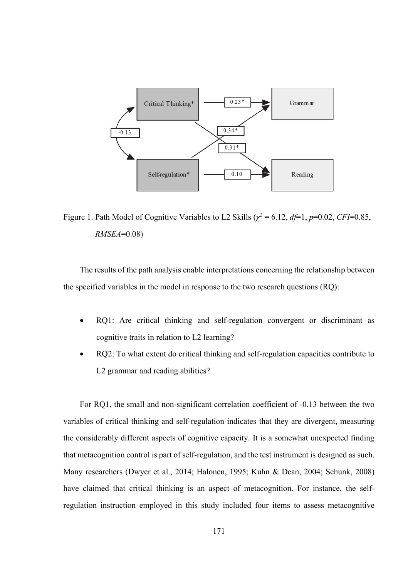

Figure 1. Path Model of Cognitive Variables to L2 Skills ( $\chi^2 = 6.12$ ,  $d\mathit{f} = 1$ ,  $p=0.02$ , *CFI*=0.85, *RMSEA*=0.08)

The results of the path analysis enable interpretations concerning the relationship between the specified variables in the model in response to the two research questions (RQ):

- RQ1: Are critical thinking and self-regulation convergent or discriminant as cognitive traits in relation to L2 learning?
- RQ2: To what extent do critical thinking and self-regulation capacities contribute to L2 grammar and reading abilities?

For RQ1, the small and non-significant correlation coefficient of -0.13 between the two variables of critical thinking and self-regulation indicates that they are divergent, measuring the considerably different aspects of cognitive capacity. It is a somewhat unexpected finding that metacognition control is part of self-regulation, and the test instrument is designed as such. Many researchers (Dwyer et al., 2014; Halonen, 1995; Kuhn & Dean, 2004; Schunk, 2008) have claimed that critical thinking is an aspect of metacognition. For instance, the selfregulation instruction employed in this study included four items to assess metacognitive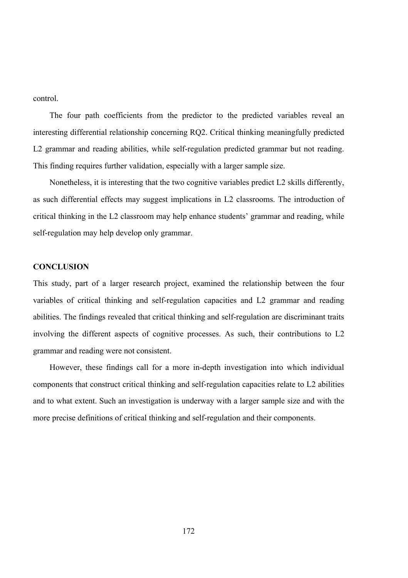control.

The four path coefficients from the predictor to the predicted variables reveal an interesting differential relationship concerning RQ2. Critical thinking meaningfully predicted L2 grammar and reading abilities, while self-regulation predicted grammar but not reading. This finding requires further validation, especially with a larger sample size.

Nonetheless, it is interesting that the two cognitive variables predict L2 skills differently, as such differential effects may suggest implications in L2 classrooms. The introduction of critical thinking in the L2 classroom may help enhance students' grammar and reading, while self-regulation may help develop only grammar.

## **CONCLUSION**

This study, part of a larger research project, examined the relationship between the four variables of critical thinking and self-regulation capacities and L2 grammar and reading abilities. The findings revealed that critical thinking and self-regulation are discriminant traits involving the different aspects of cognitive processes. As such, their contributions to L2 grammar and reading were not consistent.

However, these findings call for a more in-depth investigation into which individual components that construct critical thinking and self-regulation capacities relate to L2 abilities and to what extent. Such an investigation is underway with a larger sample size and with the more precise definitions of critical thinking and self-regulation and their components.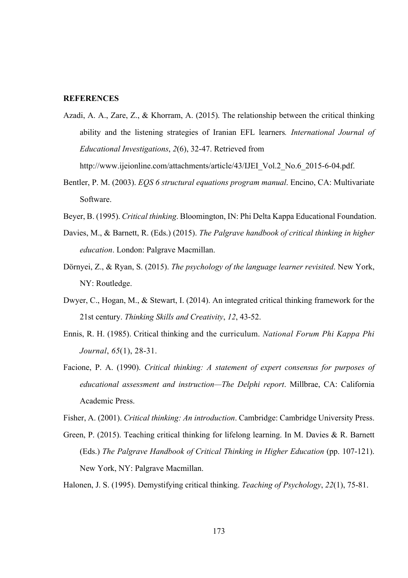# **REFERENCES**

Azadi, A. A., Zare, Z., & Khorram, A. (2015). The relationship between the critical thinking ability and the listening strategies of Iranian EFL learners*. International Journal of Educational Investigations*, *2*(6), 32-47. Retrieved from

http://www.ijeionline.com/attachments/article/43/IJEI\_Vol.2\_No.6\_2015-6-04.pdf.

- Bentler, P. M. (2003). *EQS 6 structural equations program manual*. Encino, CA: Multivariate Software.
- Beyer, B. (1995). *Critical thinking*. Bloomington, IN: Phi Delta Kappa Educational Foundation.
- Davies, M., & Barnett, R. (Eds.) (2015). *The Palgrave handbook of critical thinking in higher education*. London: Palgrave Macmillan.
- Dörnyei, Z., & Ryan, S. (2015). *The psychology of the language learner revisited*. New York, NY: Routledge.
- Dwyer, C., Hogan, M., & Stewart, I. (2014). An integrated critical thinking framework for the 21st century. *Thinking Skills and Creativity*, *12*, 43-52.
- Ennis, R. H. (1985). Critical thinking and the curriculum. *National Forum Phi Kappa Phi Journal*, *65*(1), 28-31.
- Facione, P. A. (1990). *Critical thinking: A statement of expert consensus for purposes of educational assessment and instruction—The Delphi report*. Millbrae, CA: California Academic Press.

Fisher, A. (2001). *Critical thinking: An introduction*. Cambridge: Cambridge University Press.

Green, P. (2015). Teaching critical thinking for lifelong learning. In M. Davies & R. Barnett (Eds.) *The Palgrave Handbook of Critical Thinking in Higher Education* (pp. 107-121). New York, NY: Palgrave Macmillan.

Halonen, J. S. (1995). Demystifying critical thinking. *Teaching of Psychology*, *22*(1), 75-81.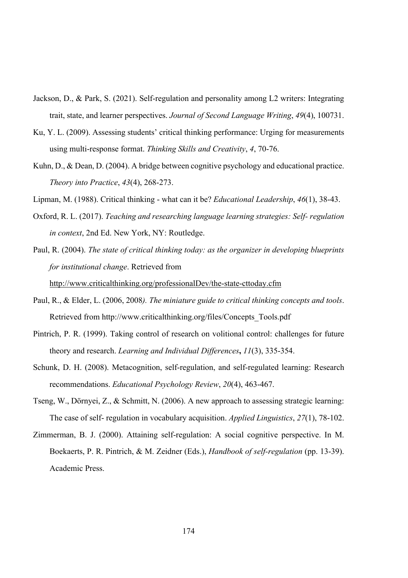- Jackson, D., & Park, S. (2021). Self-regulation and personality among L2 writers: Integrating trait, state, and learner perspectives. *Journal of Second Language Writing*, *49*(4), 100731.
- Ku, Y. L. (2009). Assessing students' critical thinking performance: Urging for measurements using multi-response format. *Thinking Skills and Creativity*, *4*, 70-76.
- Kuhn, D., & Dean, D. (2004). A bridge between cognitive psychology and educational practice. *Theory into Practice*, *43*(4), 268-273.
- Lipman, M. (1988). Critical thinking what can it be? *Educational Leadership*, *46*(1), 38-43.
- Oxford, R. L. (2017). *Teaching and researching language learning strategies: Self- regulation in context*, 2nd Ed. New York, NY: Routledge.

Paul, R. (2004). *The state of critical thinking today: as the organizer in developing blueprints for institutional change*. Retrieved from http://www.criticalthinking.org/professionalDev/the-state-cttoday.cfm

- Paul, R., & Elder, L. (2006, 2008*). The miniature guide to critical thinking concepts and tools*. Retrieved from http://www.criticalthinking.org/files/Concepts\_Tools.pdf
- Pintrich, P. R. (1999). Taking control of research on volitional control: challenges for future theory and research. *Learning and Individual Differences***,** *11*(3), 335-354.
- Schunk, D. H. (2008). Metacognition, self-regulation, and self-regulated learning: Research recommendations. *Educational Psychology Review*, *20*(4), 463-467.
- Tseng, W., Dörnyei, Z., & Schmitt, N. (2006). A new approach to assessing strategic learning: The case of self- regulation in vocabulary acquisition. *Applied Linguistics*, *27*(1), 78-102.
- Zimmerman, B. J. (2000). Attaining self-regulation: A social cognitive perspective. In M. Boekaerts, P. R. Pintrich, & M. Zeidner (Eds.), *Handbook of self-regulation* (pp. 13-39). Academic Press.